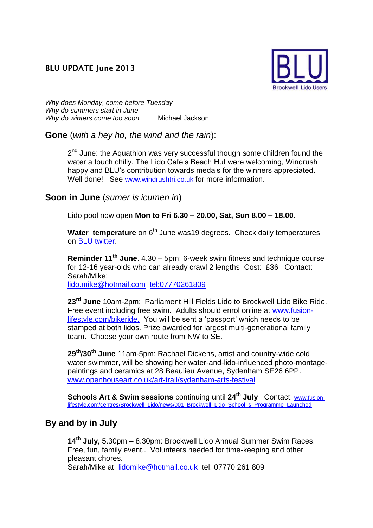#### **BLU UPDATE June 2013**



*Why does Monday, come before Tuesday Why do summers start in June Why do winters come too soon* Michael Jackson

**Gone** (*with a hey ho, the wind and the rain*):

2<sup>nd</sup> June: the Aquathlon was very successful though some children found the water a touch chilly. The Lido Café's Beach Hut were welcoming, Windrush happy and BLU's contribution towards medals for the winners appreciated. Well done! See [www.windrushtri.co.uk](http://www.windrushtri.co.uk/) for more information.

#### **Soon in June** (*sumer is icumen in*)

Lido pool now open **Mon to Fri 6.30 – 20.00, Sat, Sun 8.00 – 18.00**.

**Water temperature** on 6<sup>th</sup> June was19 degrees. Check daily temperatures on [BLU twitter.](https://twitter.com/BrockwellLido)

**Reminder 11th June**. 4.30 – 5pm: 6-week swim fitness and technique course for 12-16 year-olds who can already crawl 2 lengths Cost: £36 Contact: Sarah/Mike:

[lido.mike@hotmail.com](mailto:lido.mike@hotmail.com) <tel:07770261809>

**23rd June** 10am-2pm: Parliament Hill Fields Lido to Brockwell Lido Bike Ride. Free event including free swim. Adults should enrol online at [www.fusion](http://www.fusion-lifestyle.com/bikeride)[lifestyle.com/bikeride.](http://www.fusion-lifestyle.com/bikeride) You will be sent a 'passport' which needs to be stamped at both lidos. Prize awarded for largest multi-generational family team. Choose your own route from NW to SE.

**29th/30th June** 11am-5pm: Rachael Dickens, artist and country-wide cold water swimmer, will be showing her water-and-lido-influenced photo-montagepaintings and ceramics at 28 Beaulieu Avenue, Sydenham SE26 6PP. [www.openhouseart.co.uk/art-trail/sydenham-arts-festival](http://www.openhouseart.co.uk/art-trail/sydenham-arts-festival)

**Schools Art & Swim sessions** continuing until **24th July** Contact: [www.fusion](http://www.fusion-lifestyle.com/centres/Brockwell_Lido/news/001_Brockwell_Lido_School_s_Programme_Launched)[lifestyle.com/centres/Brockwell\\_Lido/news/001\\_Brockwell\\_Lido\\_School\\_s\\_Programme\\_Launched](http://www.fusion-lifestyle.com/centres/Brockwell_Lido/news/001_Brockwell_Lido_School_s_Programme_Launched)

## **By and by in July**

**14th July**, 5.30pm – 8.30pm: Brockwell Lido Annual Summer Swim Races. Free, fun, family event.. Volunteers needed for time-keeping and other pleasant chores. Sarah/Mike at [lidomike@hotmail.co.uk](mailto:lidomike@hotmail.co.uk) tel: 07770 261 809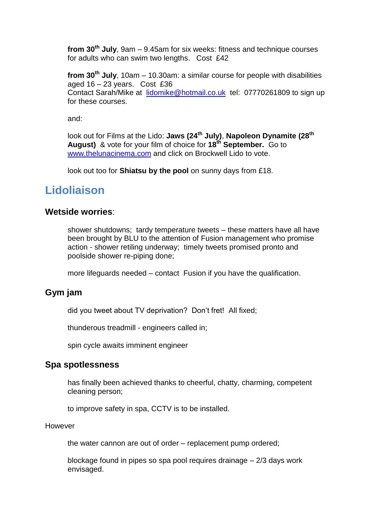**from 30th July**, 9am – 9.45am for six weeks: fitness and technique courses for adults who can swim two lengths. Cost £42

**from 30th July**, 10am – 10.30am: a similar course for people with disabilities aged 16 – 23 years. Cost £36 Contact Sarah/Mike at [lidomike@hotmail.co.uk](mailto:lidomike@hotmail.co.uk) tel: 07770261809 to sign up for these courses.

and:

look out for Films at the Lido: **Jaws (24th July)**, **Napoleon Dynamite (28th August)** & vote for your film of choice for **18th September.** Go to [www.thelunacinema.](http://www.thelunacinema/)com and click on Brockwell Lido to vote.

look out too for **Shiatsu by the pool** on sunny days from £18.

# **Lidoliaison**

#### **Wetside worries**:

shower shutdowns; tardy temperature tweets – these matters have all have been brought by BLU to the attention of Fusion management who promise action - shower retiling underway; timely tweets promised pronto and poolside shower re-piping done;

more lifeguards needed – contact Fusion if you have the qualification.

### **Gym jam**

did you tweet about TV deprivation? Don't fret! All fixed;

thunderous treadmill - engineers called in;

spin cycle awaits imminent engineer

#### **Spa spotlessness**

has finally been achieved thanks to cheerful, chatty, charming, competent cleaning person;

to improve safety in spa, CCTV is to be installed.

However

the water cannon are out of order – replacement pump ordered;

blockage found in pipes so spa pool requires drainage – 2/3 days work envisaged.